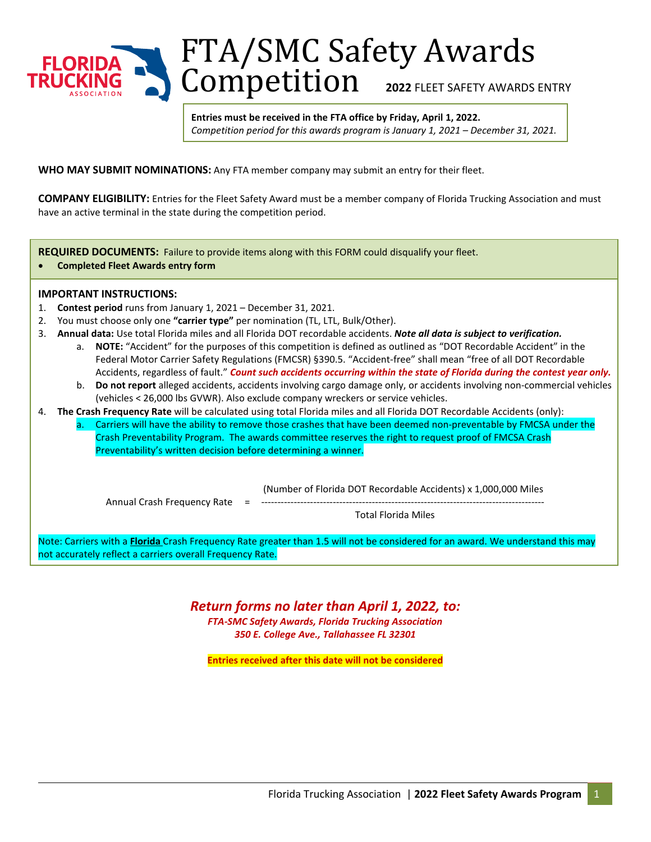

FTA/SMC Safety Awards Competition **2022 FLEET SAFETY AWARDS ENTRY** 

**Entries must be received in the FTA office by Friday, April 1, 2022.** *Competition period for this awards program is January 1, 2021 – December 31, 2021.*

**WHO MAY SUBMIT NOMINATIONS:** Any FTA member company may submit an entry for their fleet.

**COMPANY ELIGIBILITY:** Entries for the Fleet Safety Award must be a member company of Florida Trucking Association and must have an active terminal in the state during the competition period.

**REQUIRED DOCUMENTS:** Failure to provide items along with this FORM could disqualify your fleet.

• **Completed Fleet Awards entry form**

## **IMPORTANT INSTRUCTIONS:**

- 1. **Contest period** runs from January 1, 2021 December 31, 2021.
- 2. You must choose only one **"carrier type"** per nomination (TL, LTL, Bulk/Other).
- 3. **Annual data:** Use total Florida miles and all Florida DOT recordable accidents. *Note all data is subject to verification.*
	- a. **NOTE:** "Accident" for the purposes of this competition is defined as outlined as "DOT Recordable Accident" in the Federal Motor Carrier Safety Regulations (FMCSR) §390.5. "Accident-free" shall mean "free of all DOT Recordable Accidents, regardless of fault." *Count such accidents occurring within the state of Florida during the contest year only.*
	- b. **Do not report** alleged accidents, accidents involving cargo damage only, or accidents involving non-commercial vehicles (vehicles < 26,000 lbs GVWR). Also exclude company wreckers or service vehicles.
- 4. **The Crash Frequency Rate** will be calculated using total Florida miles and all Florida DOT Recordable Accidents (only):
	- a. Carriers will have the ability to remove those crashes that have been deemed non-preventable by FMCSA under the Crash Preventability Program. The awards committee reserves the right to request proof of FMCSA Crash Preventability's written decision before determining a winner.

(Number of Florida DOT Recordable Accidents) x 1,000,000 Miles

Annual Crash Frequency Rate =

Total Florida Miles

Note: Carriers with a **Florida** Crash Frequency Rate greater than 1.5 will not be considered for an award. We understand this may not accurately reflect a carriers overall Frequency Rate.

*Return forms no later than April 1, 2022, to:*

*FTA-SMC Safety Awards, Florida Trucking Association 350 E. College Ave., Tallahassee FL 32301* 

**Entries received after this date will not be considered**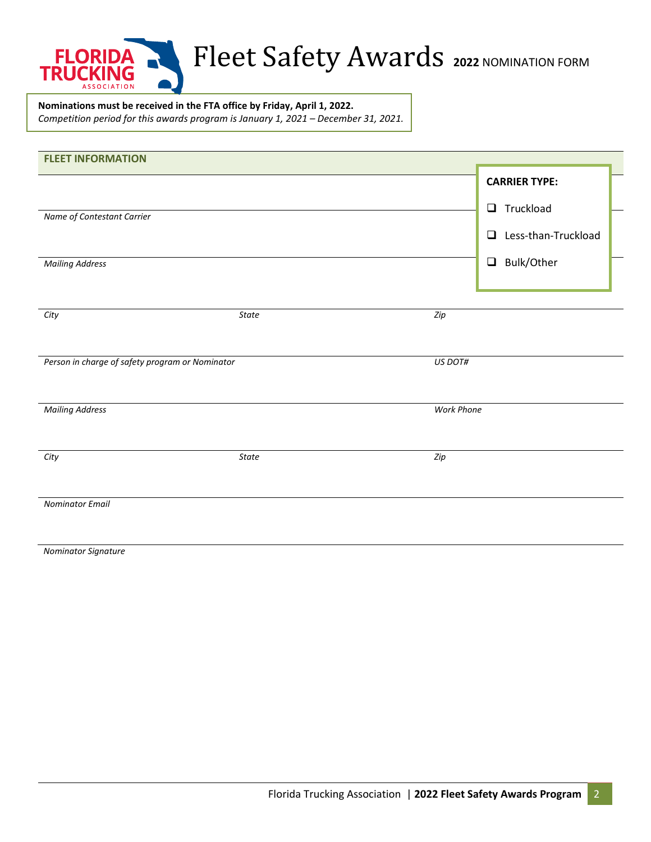

## Fleet Safety Awards **<sup>2022</sup>** NOMINATION FORM

**Nominations must be received in the FTA office by Friday, April 1, 2022.** *Competition period for this awards program is January 1, 2021 – December 31, 2021.*

| <b>FLEET INFORMATION</b>                        |       |                   |                      |  |
|-------------------------------------------------|-------|-------------------|----------------------|--|
|                                                 |       |                   | <b>CARRIER TYPE:</b> |  |
|                                                 |       |                   | $\Box$ Truckload     |  |
| Name of Contestant Carrier                      |       |                   |                      |  |
|                                                 |       |                   | Less-than-Truckload  |  |
| <b>Mailing Address</b>                          |       |                   | $\Box$ Bulk/Other    |  |
|                                                 |       |                   |                      |  |
|                                                 |       |                   |                      |  |
| City                                            | State | Zip               |                      |  |
|                                                 |       |                   |                      |  |
| Person in charge of safety program or Nominator |       | US DOT#           |                      |  |
|                                                 |       |                   |                      |  |
| <b>Mailing Address</b>                          |       | <b>Work Phone</b> |                      |  |
|                                                 |       |                   |                      |  |
| City                                            | State | Zip               |                      |  |
|                                                 |       |                   |                      |  |
|                                                 |       |                   |                      |  |
| <b>Nominator Email</b>                          |       |                   |                      |  |
|                                                 |       |                   |                      |  |

 *Nominator Signature*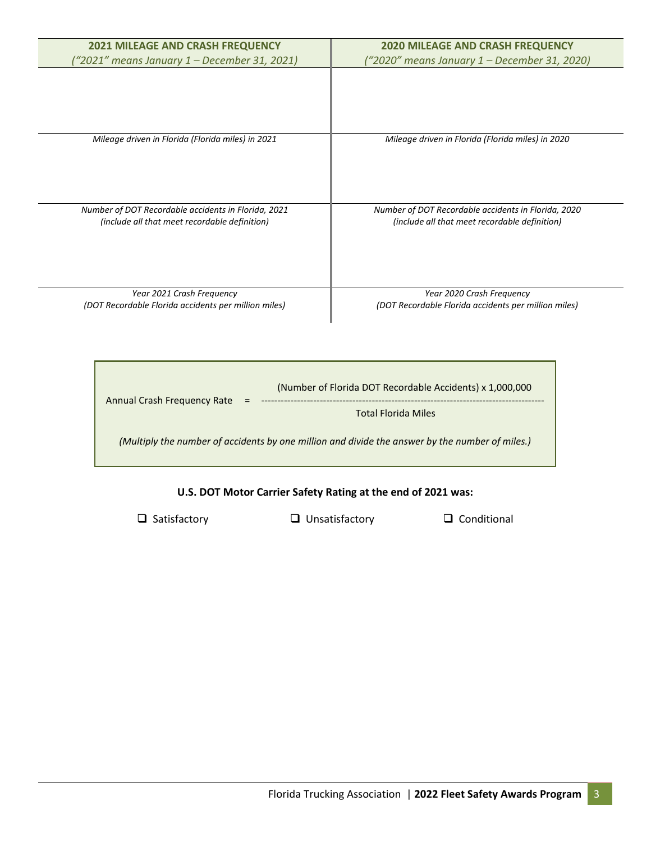| <b>2021 MILEAGE AND CRASH FREQUENCY</b><br>"2021" means January 1 – December 31, 2021)               | <b>2020 MILEAGE AND CRASH FREQUENCY</b><br>("2020" means January 1 – December 31, 2020)              |
|------------------------------------------------------------------------------------------------------|------------------------------------------------------------------------------------------------------|
|                                                                                                      |                                                                                                      |
|                                                                                                      |                                                                                                      |
| Mileage driven in Florida (Florida miles) in 2021                                                    | Mileage driven in Florida (Florida miles) in 2020                                                    |
|                                                                                                      |                                                                                                      |
|                                                                                                      |                                                                                                      |
| Number of DOT Recordable accidents in Florida, 2021<br>(include all that meet recordable definition) | Number of DOT Recordable accidents in Florida, 2020<br>(include all that meet recordable definition) |
|                                                                                                      |                                                                                                      |
|                                                                                                      |                                                                                                      |
| Year 2021 Crash Frequency<br>(DOT Recordable Florida accidents per million miles)                    | Year 2020 Crash Frequency<br>(DOT Recordable Florida accidents per million miles)                    |

| (Number of Florida DOT Recordable Accidents) x 1,000,000<br>Annual Crash Frequency Rate<br>$\equiv$<br><b>Total Florida Miles</b> |  |
|-----------------------------------------------------------------------------------------------------------------------------------|--|
| (Multiply the number of accidents by one million and divide the answer by the number of miles.)                                   |  |

## **U.S. DOT Motor Carrier Safety Rating at the end of 2021 was:**

 $\blacksquare$ 

 $\square$  Satisfactory  $\square$  Unsatisfactory  $\square$  Conditional